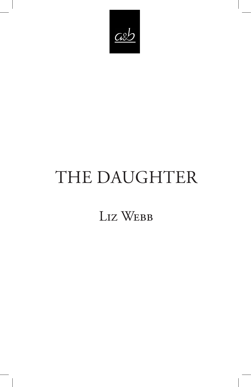

## THE DAUGHTER

## LIZ WEBB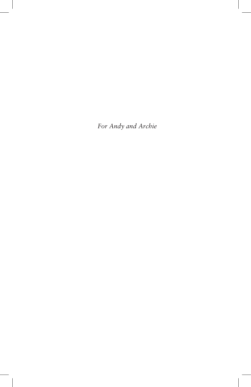*For Andy and Archie*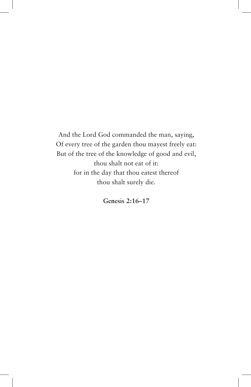And the Lord God commanded the man, saying, Of every tree of the garden thou mayest freely eat: But of the tree of the knowledge of good and evil, thou shalt not eat of it: for in the day that thou eatest thereof thou shalt surely die.

**Genesis 2:16–17**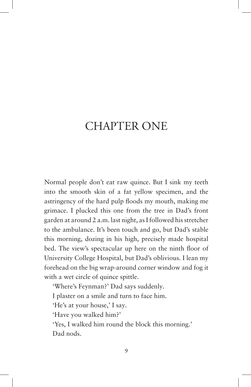## CHAPTER ONE

Normal people don't eat raw quince. But I sink my teeth into the smooth skin of a fat yellow specimen, and the astringency of the hard pulp floods my mouth, making me grimace. I plucked this one from the tree in Dad's front garden at around 2 a.m. last night, as I followed his stretcher to the ambulance. It's been touch and go, but Dad's stable this morning, dozing in his high, precisely made hospital bed. The view's spectacular up here on the ninth floor of University College Hospital, but Dad's oblivious. I lean my forehead on the big wrap-around corner window and fog it with a wet circle of quince spittle.

'Where's Feynman?' Dad says suddenly.

I plaster on a smile and turn to face him.

'He's at your house,' I say.

'Have you walked him?'

'Yes, I walked him round the block this morning.' Dad nods.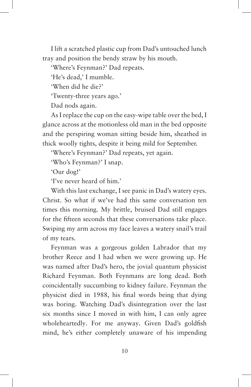I lift a scratched plastic cup from Dad's untouched lunch tray and position the bendy straw by his mouth.

'Where's Feynman?' Dad repeats.

'He's dead,' I mumble.

'When did he die?'

'Twenty-three years ago.'

Dad nods again.

As I replace the cup on the easy-wipe table over the bed, I glance across at the motionless old man in the bed opposite and the perspiring woman sitting beside him, sheathed in thick woolly tights, despite it being mild for September.

'Where's Feynman?' Dad repeats, yet again.

'Who's Feynman?' I snap.

'Our dog!'

'I've never heard of him.'

With this last exchange, I see panic in Dad's watery eyes. Christ. So what if we've had this same conversation ten times this morning. My brittle, bruised Dad still engages for the fifteen seconds that these conversations take place. Swiping my arm across my face leaves a watery snail's trail of my tears.

Feynman was a gorgeous golden Labrador that my brother Reece and I had when we were growing up. He was named after Dad's hero, the jovial quantum physicist Richard Feynman. Both Feynmans are long dead. Both coincidentally succumbing to kidney failure. Feynman the physicist died in 1988, his final words being that dying was boring. Watching Dad's disintegration over the last six months since I moved in with him, I can only agree wholeheartedly. For me anyway. Given Dad's goldfish mind, he's either completely unaware of his impending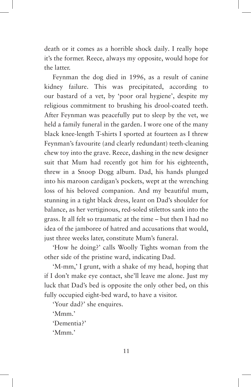death or it comes as a horrible shock daily. I really hope it's the former. Reece, always my opposite, would hope for the latter.

Feynman the dog died in 1996, as a result of canine kidney failure. This was precipitated, according to our bastard of a vet, by 'poor oral hygiene', despite my religious commitment to brushing his drool-coated teeth. After Feynman was peacefully put to sleep by the vet, we held a family funeral in the garden. I wore one of the many black knee-length T-shirts I sported at fourteen as I threw Feynman's favourite (and clearly redundant) teeth-cleaning chew toy into the grave. Reece, dashing in the new designer suit that Mum had recently got him for his eighteenth, threw in a Snoop Dogg album. Dad, his hands plunged into his maroon cardigan's pockets, wept at the wrenching loss of his beloved companion. And my beautiful mum, stunning in a tight black dress, leant on Dad's shoulder for balance, as her vertiginous, red-soled stilettos sank into the grass. It all felt so traumatic at the time – but then I had no idea of the jamboree of hatred and accusations that would, just three weeks later, constitute Mum's funeral.

'How he doing?' calls Woolly Tights woman from the other side of the pristine ward, indicating Dad.

'M-mm,' I grunt, with a shake of my head, hoping that if I don't make eye contact, she'll leave me alone. Just my luck that Dad's bed is opposite the only other bed, on this fully occupied eight-bed ward, to have a visitor.

'Your dad?' she enquires.

'Mmm.' 'Dementia?'

'Mmm.'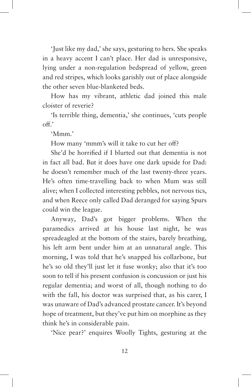'Just like my dad,' she says, gesturing to hers. She speaks in a heavy accent I can't place. Her dad is unresponsive, lying under a non-regulation bedspread of yellow, green and red stripes, which looks garishly out of place alongside the other seven blue-blanketed beds.

How has my vibrant, athletic dad joined this male cloister of reverie?

'Is terrible thing, dementia,' she continues, 'cuts people off.'

'Mmm.'

How many 'mmm's will it take to cut her off?

She'd be horrified if I blurted out that dementia is not in fact all bad. But it does have one dark upside for Dad: he doesn't remember much of the last twenty-three years. He's often time-travelling back to when Mum was still alive; when I collected interesting pebbles, not nervous tics, and when Reece only called Dad deranged for saying Spurs could win the league.

Anyway, Dad's got bigger problems. When the paramedics arrived at his house last night, he was spreadeagled at the bottom of the stairs, barely breathing, his left arm bent under him at an unnatural angle. This morning, I was told that he's snapped his collarbone, but he's so old they'll just let it fuse wonky; also that it's too soon to tell if his present confusion is concussion or just his regular dementia; and worst of all, though nothing to do with the fall, his doctor was surprised that, as his carer, I was unaware of Dad's advanced prostate cancer. It's beyond hope of treatment, but they've put him on morphine as they think he's in considerable pain.

'Nice pear?' enquires Woolly Tights, gesturing at the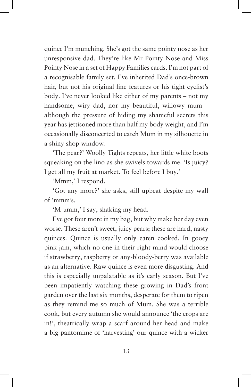quince I'm munching. She's got the same pointy nose as her unresponsive dad. They're like Mr Pointy Nose and Miss Pointy Nose in a set of Happy Families cards. I'm not part of a recognisable family set. I've inherited Dad's once-brown hair, but not his original fine features or his tight cyclist's body. I've never looked like either of my parents – not my handsome, wiry dad, nor my beautiful, willowy mum – although the pressure of hiding my shameful secrets this year has jettisoned more than half my body weight, and I'm occasionally disconcerted to catch Mum in my silhouette in a shiny shop window.

'The pear?' Woolly Tights repeats, her little white boots squeaking on the lino as she swivels towards me. 'Is juicy? I get all my fruit at market. To feel before I buy.'

'Mmm,' I respond.

'Got any more?' she asks, still upbeat despite my wall of 'mmm's.

'M-umm,' I say, shaking my head.

I've got four more in my bag, but why make her day even worse. These aren't sweet, juicy pears; these are hard, nasty quinces. Quince is usually only eaten cooked. In gooey pink jam, which no one in their right mind would choose if strawberry, raspberry or any-bloody-berry was available as an alternative. Raw quince is even more disgusting. And this is especially unpalatable as it's early season. But I've been impatiently watching these growing in Dad's front garden over the last six months, desperate for them to ripen as they remind me so much of Mum. She was a terrible cook, but every autumn she would announce 'the crops are in!', theatrically wrap a scarf around her head and make a big pantomime of 'harvesting' our quince with a wicker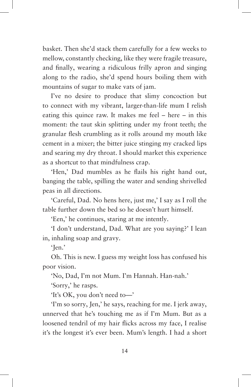basket. Then she'd stack them carefully for a few weeks to mellow, constantly checking, like they were fragile treasure, and finally, wearing a ridiculous frilly apron and singing along to the radio, she'd spend hours boiling them with mountains of sugar to make vats of jam.

I've no desire to produce that slimy concoction but to connect with my vibrant, larger-than-life mum I relish eating this quince raw. It makes me feel – here – in this moment: the taut skin splitting under my front teeth; the granular flesh crumbling as it rolls around my mouth like cement in a mixer; the bitter juice stinging my cracked lips and searing my dry throat. I should market this experience as a shortcut to that mindfulness crap.

'Hen,' Dad mumbles as he flails his right hand out, banging the table, spilling the water and sending shrivelled peas in all directions.

'Careful, Dad. No hens here, just me,' I say as I roll the table further down the bed so he doesn't hurt himself.

'Een,' he continues, staring at me intently.

'I don't understand, Dad. What are you saying?' I lean in, inhaling soap and gravy.

'Jen.'

Oh. This is new. I guess my weight loss has confused his poor vision.

'No, Dad, I'm not Mum. I'm Hannah. Han-nah.'

'Sorry,' he rasps.

'It's OK, you don't need to—'

'I'm so sorry, Jen,' he says, reaching for me. I jerk away, unnerved that he's touching me as if I'm Mum. But as a loosened tendril of my hair flicks across my face, I realise it's the longest it's ever been. Mum's length. I had a short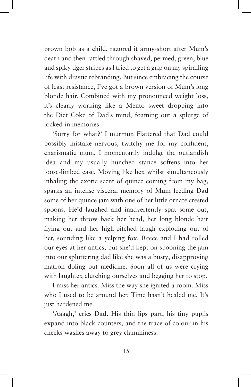brown bob as a child, razored it army-short after Mum's death and then rattled through shaved, permed, green, blue and spiky tiger stripes as I tried to get a grip on my spiralling life with drastic rebranding. But since embracing the course of least resistance, I've got a brown version of Mum's long blonde hair. Combined with my pronounced weight loss, it's clearly working like a Mento sweet dropping into the Diet Coke of Dad's mind, foaming out a splurge of locked-in memories.

'Sorry for what?' I murmur. Flattered that Dad could possibly mistake nervous, twitchy me for my confident, charismatic mum, I momentarily indulge the outlandish idea and my usually hunched stance softens into her loose-limbed ease. Moving like her, whilst simultaneously inhaling the exotic scent of quince coming from my bag, sparks an intense visceral memory of Mum feeding Dad some of her quince jam with one of her little ornate crested spoons. He'd laughed and inadvertently spat some out, making her throw back her head, her long blonde hair flying out and her high-pitched laugh exploding out of her, sounding like a yelping fox. Reece and I had rolled our eyes at her antics, but she'd kept on spooning the jam into our spluttering dad like she was a busty, disapproving matron doling out medicine. Soon all of us were crying with laughter, clutching ourselves and begging her to stop.

I miss her antics. Miss the way she ignited a room. Miss who I used to be around her. Time hasn't healed me. It's just hardened me.

'Aaagh,' cries Dad. His thin lips part, his tiny pupils expand into black counters, and the trace of colour in his cheeks washes away to grey clamminess.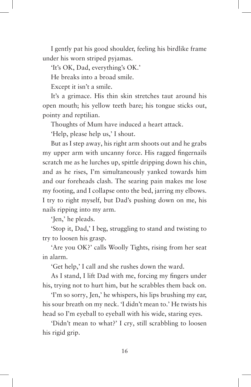I gently pat his good shoulder, feeling his birdlike frame under his worn striped pyjamas.

'It's OK, Dad, everything's OK.'

He breaks into a broad smile.

Except it isn't a smile.

It's a grimace. His thin skin stretches taut around his open mouth; his yellow teeth bare; his tongue sticks out, pointy and reptilian.

Thoughts of Mum have induced a heart attack.

'Help, please help us,' I shout.

But as I step away, his right arm shoots out and he grabs my upper arm with uncanny force. His ragged fingernails scratch me as he lurches up, spittle dripping down his chin, and as he rises, I'm simultaneously yanked towards him and our foreheads clash. The searing pain makes me lose my footing, and I collapse onto the bed, jarring my elbows. I try to right myself, but Dad's pushing down on me, his nails ripping into my arm.

'Jen,' he pleads.

'Stop it, Dad,' I beg, struggling to stand and twisting to try to loosen his grasp.

'Are you OK?' calls Woolly Tights, rising from her seat in alarm.

'Get help,' I call and she rushes down the ward.

As I stand, I lift Dad with me, forcing my fingers under his, trying not to hurt him, but he scrabbles them back on.

'I'm so sorry, Jen,' he whispers, his lips brushing my ear, his sour breath on my neck. 'I didn't mean to.' He twists his head so I'm eyeball to eyeball with his wide, staring eyes.

'Didn't mean to what?' I cry, still scrabbling to loosen his rigid grip.